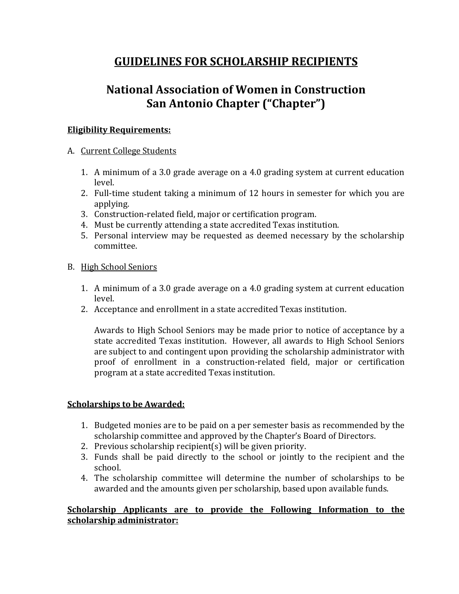## **GUIDELINES FOR SCHOLARSHIP RECIPIENTS**

# **National Association of Women in Construction San Antonio Chapter ("Chapter")**

## **Eligibility Requirements:**

## A. Current College Students

- 1. A minimum of a 3.0 grade average on a 4.0 grading system at current education level.
- 2. Full-time student taking a minimum of 12 hours in semester for which you are applying.
- 3. Construction-related field, major or certification program.
- 4. Must be currently attending a state accredited Texas institution.
- 5. Personal interview may be requested as deemed necessary by the scholarship committee.

## B. High School Seniors

- 1. A minimum of a 3.0 grade average on a 4.0 grading system at current education level.
- 2. Acceptance and enrollment in a state accredited Texas institution.

Awards to High School Seniors may be made prior to notice of acceptance by a state accredited Texas institution. However, all awards to High School Seniors are subject to and contingent upon providing the scholarship administrator with proof of enrollment in a construction-related field, major or certification program at a state accredited Texas institution.

## **Scholarships to be Awarded:**

- 1. Budgeted monies are to be paid on a per semester basis as recommended by the scholarship committee and approved by the Chapter's Board of Directors.
- 2. Previous scholarship recipient(s) will be given priority.
- 3. Funds shall be paid directly to the school or jointly to the recipient and the school.
- 4. The scholarship committee will determine the number of scholarships to be awarded and the amounts given per scholarship, based upon available funds.

## **Scholarship Applicants are to provide the Following Information to the scholarship administrator:**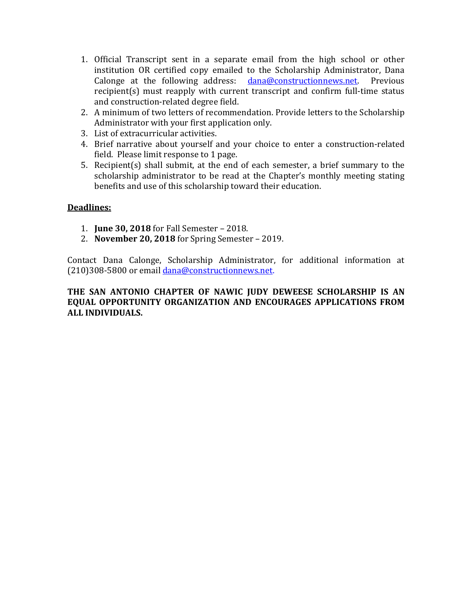- 1. Official Transcript sent in a separate email from the high school or other institution OR certified copy emailed to the Scholarship Administrator, Dana Calonge at the following address: dana@constructionnews.net. Previous recipient(s) must reapply with current transcript and confirm full-time status and construction-related degree field.
- 2. A minimum of two letters of recommendation. Provide letters to the Scholarship Administrator with your first application only.
- 3. List of extracurricular activities.
- 4. Brief narrative about yourself and your choice to enter a construction-related field. Please limit response to 1 page.
- 5. Recipient(s) shall submit, at the end of each semester, a brief summary to the scholarship administrator to be read at the Chapter's monthly meeting stating benefits and use of this scholarship toward their education.

#### **Deadlines:**

- 1. **June 30, 2018** for Fall Semester 2018.
- 2. **November 20, 2018** for Spring Semester 2019.

Contact Dana Calonge, Scholarship Administrator, for additional information at (210)308-5800 or email dana@constructionnews.net.

#### **THE SAN ANTONIO CHAPTER OF NAWIC JUDY DEWEESE SCHOLARSHIP IS AN EQUAL OPPORTUNITY ORGANIZATION AND ENCOURAGES APPLICATIONS FROM ALL INDIVIDUALS.**